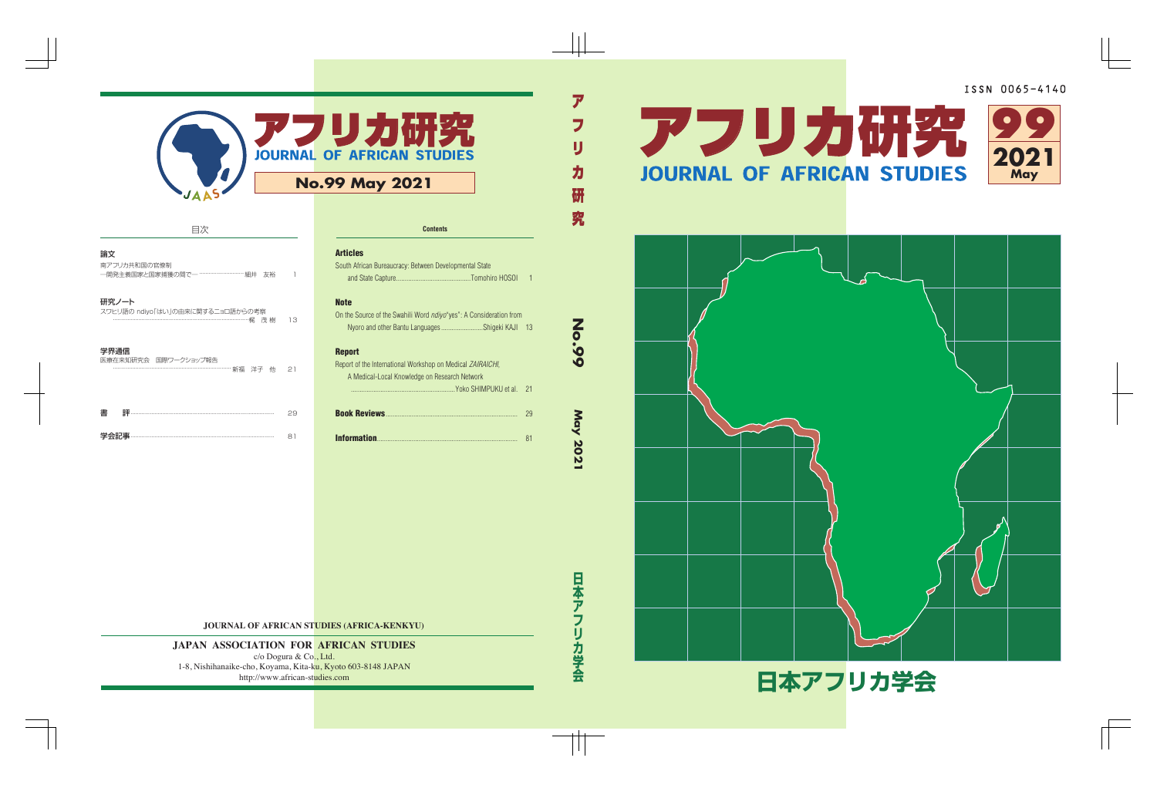

| 目次                                                                                                                                                                                                                                                                                                                                                       |    |                      |
|----------------------------------------------------------------------------------------------------------------------------------------------------------------------------------------------------------------------------------------------------------------------------------------------------------------------------------------------------------|----|----------------------|
| 論文<br>南アフリカ共和国の官僚制<br>一開発主義国家と国家捕獲の間でー ……………………… 細井<br>友裕                                                                                                                                                                                                                                                                                                |    | Ar<br>S <sub>0</sub> |
| 研究ノート<br>スワヒリ語の ndiyo「はい」の由来に関するニョロ語からの考察                                                                                                                                                                                                                                                                                                                | 13 | No<br>0n             |
| 学界通信<br>医療在来知研究会 国際ワークショップ報告                                                                                                                                                                                                                                                                                                                             | 21 | Re<br>Re             |
| $\overline{a}$ = $\overline{a}$ = $\overline{a}$ = $\overline{a}$ = $\overline{a}$ = $\overline{a}$ = $\overline{a}$ = $\overline{a}$ = $\overline{a}$ = $\overline{a}$ = $\overline{a}$ = $\overline{a}$ = $\overline{a}$ = $\overline{a}$ = $\overline{a}$ = $\overline{a}$ = $\overline{a}$ = $\overline{a}$ = $\overline{a}$ = $\overline{a}$ =<br>書 | 29 | Bo                   |
| 学会記事                                                                                                                                                                                                                                                                                                                                                     | 81 | In                   |

| <b>Articles</b>                                                            |    |
|----------------------------------------------------------------------------|----|
| South African Bureaucracy: Between Developmental State                     |    |
|                                                                            | 1  |
| <b>Note</b>                                                                |    |
| On the Source of the Swahili Word <i>ndiyo</i> "yes": A Consideration from |    |
| Nyoro and other Bantu Languages Shigeki KAJI                               | 13 |
| <b>Report</b>                                                              |    |
| Report of the International Workshop on Medical <i>ZAIRAICHI</i> ,         |    |
| A Medical-Local Knowledge on Research Network                              |    |
|                                                                            | 21 |
|                                                                            | 29 |
|                                                                            | 81 |

**No.99**

アフリカ (の) こうしょう こうしょう こうしょう こうしょう こうしょう こうしょう

**May 2021**

**Contents**

## **JOURNAL OF AFRICAN STUDIES (AFRICA-KENKYU)**

## **JAPAN ASSOCIATION FOR AFRICAN STUDIES**

c/o Dogura & Co., Ltd. 1-8, Nishihanaike-cho, Koyama, Kita-ku, Kyoto 603-8148 JAPAN http://www.african-studies.com